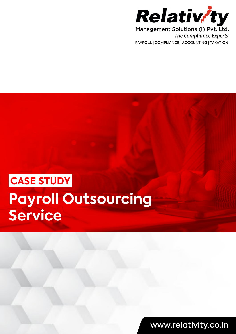

**The Compliance Experts** PAYROLL | COMPLIANCE | ACCOUNTING | TAXATION

# **Payroll Outsourcing Service CASE STUDY**

www.relativity.co.in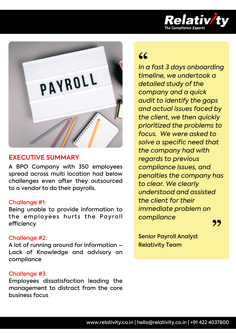



# **EXECUTIVE SUMMARY**

A BPO Company with 350 employees spread across multi location had below challenges even after they outsourced to a vendor to do their payrolls.

### Challenge #1:

Being unable to provide information to the employees hurts the Payroll efficiency

### Challenge #2:

A lot of running around for information – Lack of Knowledge and advisory on compliance

### Challenge #3:

Employees dissatisfaction leading the management to distract from the core business focus

*In a fast 3 days onboarding*  **"** *timeline, we undertook a detailed study of the company and a quick audit to identify the gaps and actual issues faced by the client, we then quickly prioritized the problems to focus. We were asked to solve a specifc need that the company had with regards to previous compliance issues, and penalties the company has to clear. We clearly understood and assisted the client for their immediate problem on compliance* **"**

Senior Payroll Analyst Relativity Team